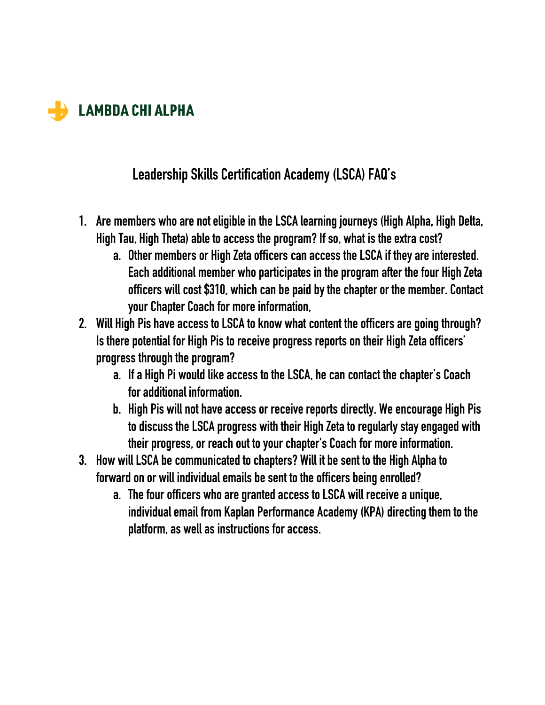

## **Leadership Skills Certification Academy (LSCA) FAQ's**

- **1. Are members who are not eligible in the LSCA learning journeys (High Alpha, High Delta, High Tau, High Theta) able to access the program? If so, what is the extra cost?**
	- **a. Other members or High Zeta officers can access the LSCA if they are interested.**  Each additional member who participates in the program after the four High Zeta **officers will cost \$310, which can be paid by the chapter or the member. Contact your Chapter Coach for more information,**
- **2. Will High Pis have access to LSCA to know what content the officers are going through? Is there potential for High Pis to receive progress reports on their High Zeta officers' progress through the program?**
	- **a. If a High Pi would like access to the LSCA, he can contact the chapter's Coach for additional information.**
	- **b. High Pis will not have access or receive reports directly. We encourage High Pis to discuss the LSCA progress with their High Zeta to regularly stay engaged with their progress, or reach out to your chapter's Coach for more information.**
- **3. How will LSCA be communicated to chapters? Will it be sent to the High Alpha to forward on or will individual emails be sent to the officers being enrolled?**
	- **a. The four officers who are granted access to LSCA will receive a unique, individual email from Kaplan Performance Academy (KPA) directing them to the platform, as well as instructions for access.**